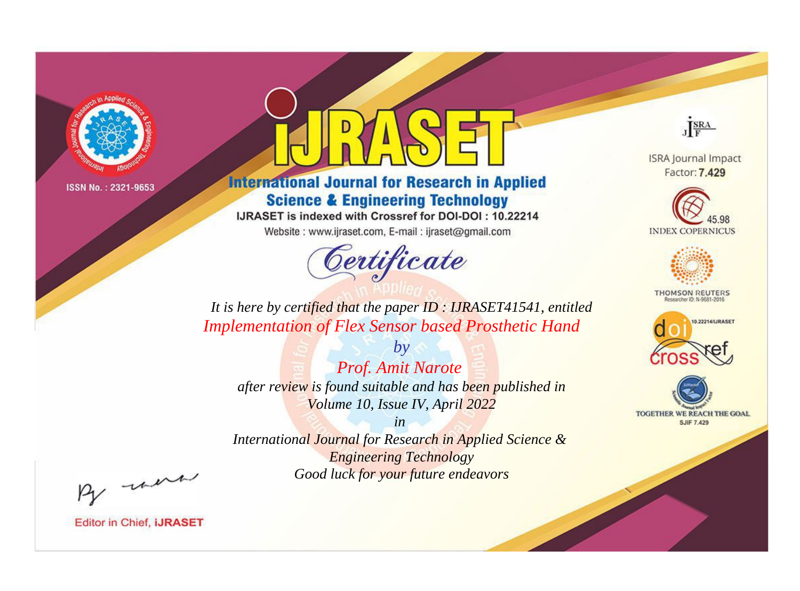

# **International Journal for Research in Applied Science & Engineering Technology**

IJRASET is indexed with Crossref for DOI-DOI: 10.22214

Website: www.ijraset.com, E-mail: ijraset@gmail.com



JERA

**ISRA Journal Impact** Factor: 7.429





**THOMSON REUTERS** 



TOGETHER WE REACH THE GOAL **SJIF 7.429** 

*It is here by certified that the paper ID : IJRASET41541, entitled Implementation of Flex Sensor based Prosthetic Hand*

*Prof. Amit Narote after review is found suitable and has been published in Volume 10, Issue IV, April 2022*

*by*

*in* 

*International Journal for Research in Applied Science & Engineering Technology Good luck for your future endeavors*

By morn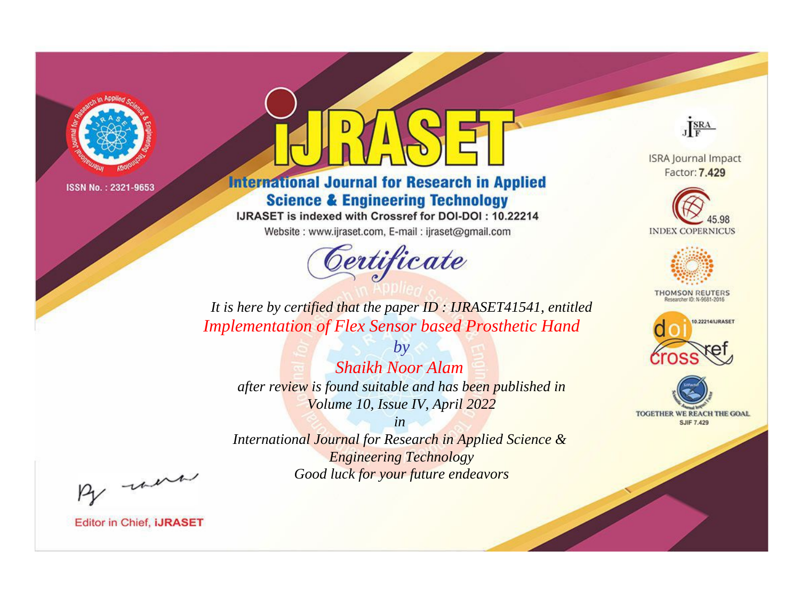

# **International Journal for Research in Applied Science & Engineering Technology**

IJRASET is indexed with Crossref for DOI-DOI: 10.22214

Website: www.ijraset.com, E-mail: ijraset@gmail.com



JERA

**ISRA Journal Impact** Factor: 7.429





**THOMSON REUTERS** 



TOGETHER WE REACH THE GOAL **SJIF 7.429** 

*It is here by certified that the paper ID : IJRASET41541, entitled Implementation of Flex Sensor based Prosthetic Hand*

*Shaikh Noor Alam after review is found suitable and has been published in Volume 10, Issue IV, April 2022*

*by*

*in* 

*International Journal for Research in Applied Science & Engineering Technology Good luck for your future endeavors*

By morn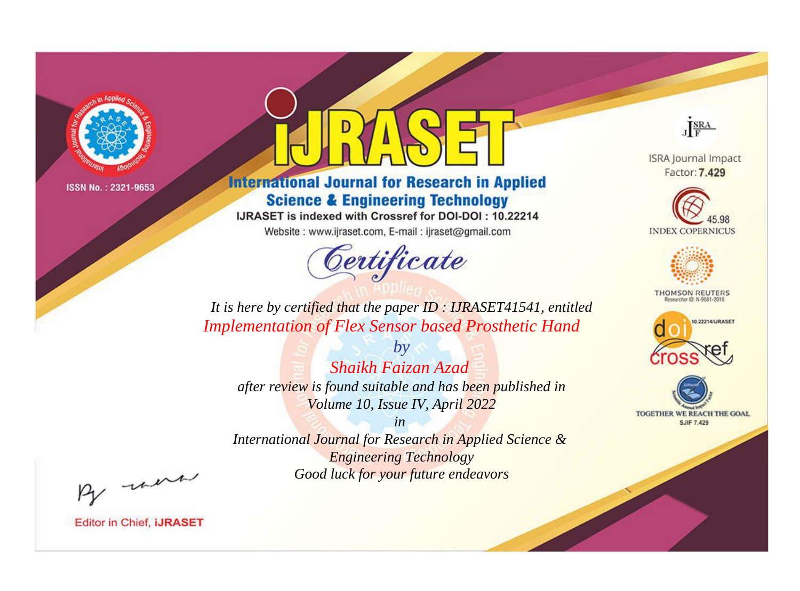

# **International Journal for Research in Applied Science & Engineering Technology**

IJRASET is indexed with Crossref for DOI-DOI: 10.22214

Website: www.ijraset.com, E-mail: ijraset@gmail.com



JERA

**ISRA Journal Impact** Factor: 7.429





**THOMSON REUTERS** 



TOGETHER WE REACH THE GOAL **SJIF 7.429** 

It is here by certified that the paper ID: IJRASET41541, entitled **Implementation of Flex Sensor based Prosthetic Hand** 

Shaikh Faizan Azad after review is found suitable and has been published in Volume 10, Issue IV, April 2022

 $b\nu$ 

 $in$ International Journal for Research in Applied Science & **Engineering Technology** Good luck for your future endeavors

By morn